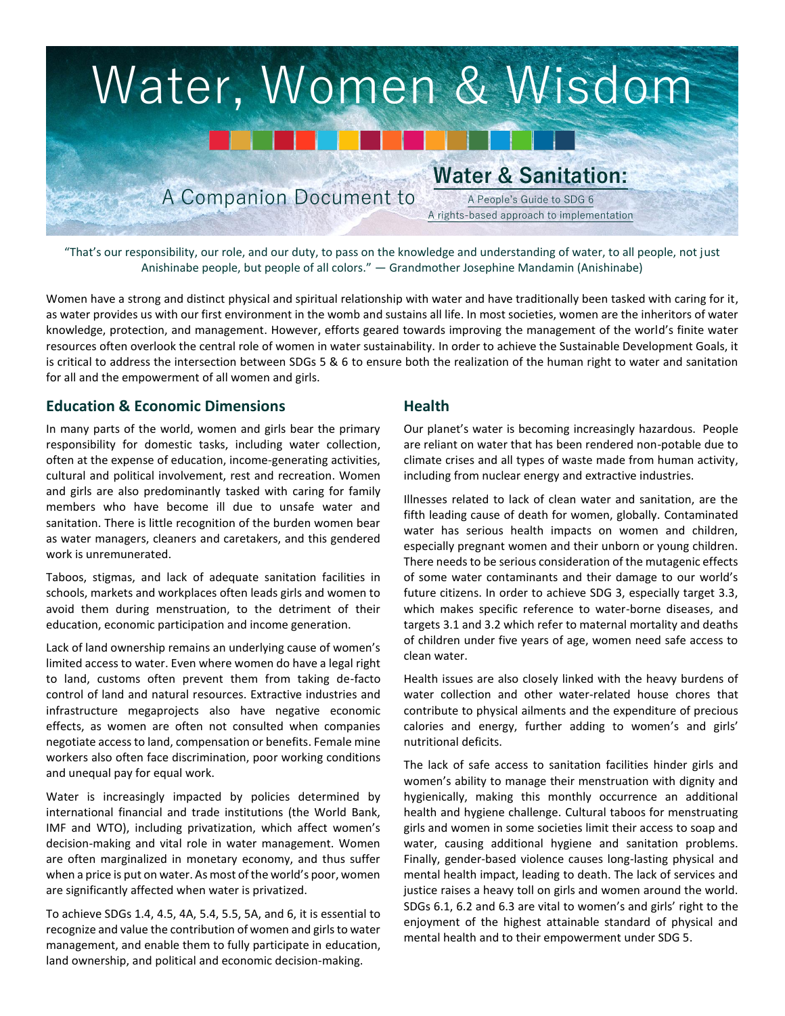

"That's our responsibility, our role, and our duty, to pass on the knowledge and understanding of water, to all people, not just Anishinabe people, but people of all colors." — Grandmother Josephine Mandamin (Anishinabe)

Women have a strong and distinct physical and spiritual relationship with water and have traditionally been tasked with caring for it, as water provides us with our first environment in the womb and sustains all life. In most societies, women are the inheritors of water knowledge, protection, and management. However, efforts geared towards improving the management of the world's finite water resources often overlook the central role of women in water sustainability. In order to achieve the Sustainable Development Goals, it is critical to address the intersection between SDGs 5 & 6 to ensure both the realization of the human right to water and sanitation for all and the empowerment of all women and girls.

### **Education & Economic Dimensions**

In many parts of the world, women and girls bear the primary responsibility for domestic tasks, including water collection, often at the expense of education, income-generating activities, cultural and political involvement, rest and recreation. Women and girls are also predominantly tasked with caring for family members who have become ill due to unsafe water and sanitation. There is little recognition of the burden women bear as water managers, cleaners and caretakers, and this gendered work is unremunerated.

Taboos, stigmas, and lack of adequate sanitation facilities in schools, markets and workplaces often leads girls and women to avoid them during menstruation, to the detriment of their education, economic participation and income generation.

Lack of land ownership remains an underlying cause of women's limited access to water. Even where women do have a legal right to land, customs often prevent them from taking de-facto control of land and natural resources. Extractive industries and infrastructure megaprojects also have negative economic effects, as women are often not consulted when companies negotiate access to land, compensation or benefits. Female mine workers also often face discrimination, poor working conditions and unequal pay for equal work.

Water is increasingly impacted by policies determined by international financial and trade institutions (the World Bank, IMF and WTO), including privatization, which affect women's decision-making and vital role in water management. Women are often marginalized in monetary economy, and thus suffer when a price is put on water. As most of the world's poor, women are significantly affected when water is privatized.

To achieve SDGs 1.4, 4.5, 4A, 5.4, 5.5, 5A, and 6, it is essential to recognize and value the contribution of women and girls to water management, and enable them to fully participate in education, land ownership, and political and economic decision-making.

### **Health**

Our planet's water is becoming increasingly hazardous. People are reliant on water that has been rendered non-potable due to climate crises and all types of waste made from human activity, including from nuclear energy and extractive industries.

Illnesses related to lack of clean water and sanitation, are the fifth leading cause of death for women, globally. Contaminated water has serious health impacts on women and children, especially pregnant women and their unborn or young children. There needs to be serious consideration of the mutagenic effects of some water contaminants and their damage to our world's future citizens. In order to achieve SDG 3, especially target 3.3, which makes specific reference to water-borne diseases, and targets 3.1 and 3.2 which refer to maternal mortality and deaths of children under five years of age, women need safe access to clean water.

Health issues are also closely linked with the heavy burdens of water collection and other water-related house chores that contribute to physical ailments and the expenditure of precious calories and energy, further adding to women's and girls' nutritional deficits.

The lack of safe access to sanitation facilities hinder girls and women's ability to manage their menstruation with dignity and hygienically, making this monthly occurrence an additional health and hygiene challenge. Cultural taboos for menstruating girls and women in some societies limit their access to soap and water, causing additional hygiene and sanitation problems. Finally, gender-based violence causes long-lasting physical and mental health impact, leading to death. The lack of services and justice raises a heavy toll on girls and women around the world. SDGs 6.1, 6.2 and 6.3 are vital to women's and girls' right to the enjoyment of the highest attainable standard of physical and mental health and to their empowerment under SDG 5.